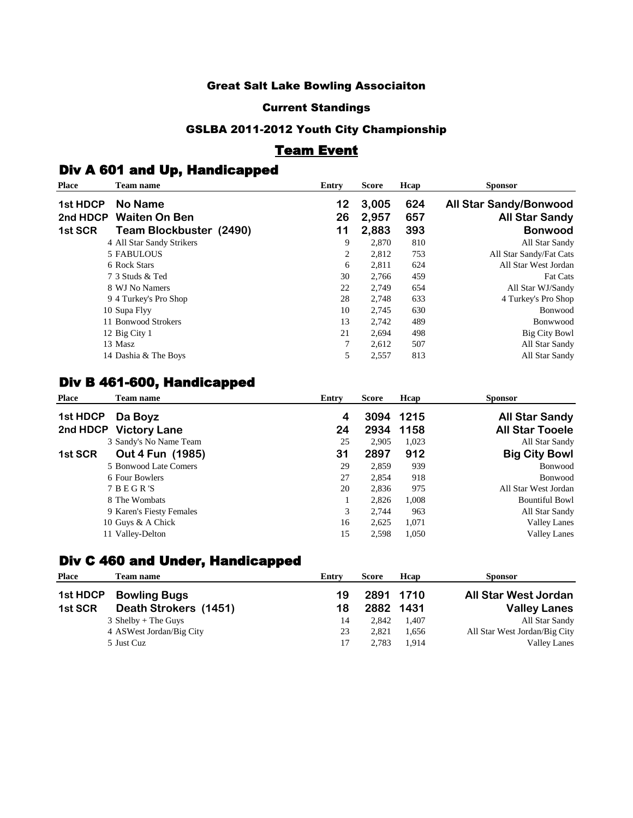#### Great Salt Lake Bowling Associaiton

#### Current Standings

#### GSLBA 2011-2012 Youth City Championship

## Team Event

#### Div A 601 and Up, Handicapped

| <b>Place</b> | <b>Team name</b>          | Entry | <b>Score</b> | Hcap | <b>Sponsor</b>                |
|--------------|---------------------------|-------|--------------|------|-------------------------------|
| 1st HDCP     | No Name                   | 12    | 3,005        | 624  | <b>All Star Sandy/Bonwood</b> |
| 2nd HDCP     | <b>Waiten On Ben</b>      | 26    | 2,957        | 657  | <b>All Star Sandy</b>         |
| 1st SCR      | Team Blockbuster (2490)   | 11    | 2,883        | 393  | <b>Bonwood</b>                |
|              | 4 All Star Sandy Strikers | 9     | 2,870        | 810  | All Star Sandy                |
|              | 5 FABULOUS                | 2     | 2,812        | 753  | All Star Sandy/Fat Cats       |
|              | 6 Rock Stars              | 6     | 2,811        | 624  | All Star West Jordan          |
|              | 7 3 Studs & Ted           | 30    | 2,766        | 459  | <b>Fat Cats</b>               |
|              | 8 WJ No Namers            | 22    | 2,749        | 654  | All Star WJ/Sandy             |
|              | 9 4 Turkey's Pro Shop     | 28    | 2,748        | 633  | 4 Turkey's Pro Shop           |
|              | 10 Supa Flyy              | 10    | 2,745        | 630  | <b>Bonwood</b>                |
|              | 11 Bonwood Strokers       | 13    | 2,742        | 489  | Bonwwood                      |
|              | 12 Big City 1             | 21    | 2,694        | 498  | Big City Bowl                 |
|              | 13 Masz                   |       | 2,612        | 507  | All Star Sandy                |
|              | 14 Dashia & The Boys      | 5     | 2,557        | 813  | All Star Sandy                |

#### Div B 461-600, Handicapped

| <b>Place</b> | <b>Team name</b>         | Entry | <b>Score</b> | Hcap      | <b>Sponsor</b>         |
|--------------|--------------------------|-------|--------------|-----------|------------------------|
| 1st HDCP     | Da Boyz                  | 4     |              | 3094 1215 | <b>All Star Sandy</b>  |
|              | 2nd HDCP Victory Lane    | 24    | 2934         | 1158      | <b>All Star Tooele</b> |
|              | 3 Sandy's No Name Team   | 25    | 2,905        | 1,023     | All Star Sandy         |
| 1st SCR      | Out 4 Fun (1985)         | 31    | 2897         | 912       | <b>Big City Bowl</b>   |
|              | 5 Bonwood Late Comers    | 29    | 2.859        | 939       | Bonwood                |
|              | 6 Four Bowlers           | 27    | 2.854        | 918       | Bonwood                |
|              | 7 B E G R 'S             | 20    | 2,836        | 975       | All Star West Jordan   |
|              | 8 The Wombats            |       | 2,826        | 1,008     | <b>Bountiful Bowl</b>  |
|              | 9 Karen's Fiesty Females | 3     | 2.744        | 963       | All Star Sandy         |
|              | 10 Guys & A Chick        | 16    | 2,625        | 1,071     | <b>Valley Lanes</b>    |
|              | 11 Valley-Delton         | 15    | 2,598        | 1,050     | <b>Valley Lanes</b>    |

#### Div C 460 and Under, Handicapped

| <b>Place</b> | Team name                | Entry | <b>Score</b> | Hcap      | <b>Sponsor</b>                |
|--------------|--------------------------|-------|--------------|-----------|-------------------------------|
| 1st HDCP     | <b>Bowling Bugs</b>      | 19    |              | 2891 1710 | <b>All Star West Jordan</b>   |
| 1st SCR      | Death Strokers (1451)    | 18    | 2882 1431    |           | <b>Valley Lanes</b>           |
|              | $3$ Shelby + The Guys    | 14    | 2.842        | 1.407     | All Star Sandy                |
|              | 4 ASWest Jordan/Big City | 23    | 2.821        | 1.656     | All Star West Jordan/Big City |
|              | 5 Just Cuz               |       | 2.783        | 1.914     | <b>Valley Lanes</b>           |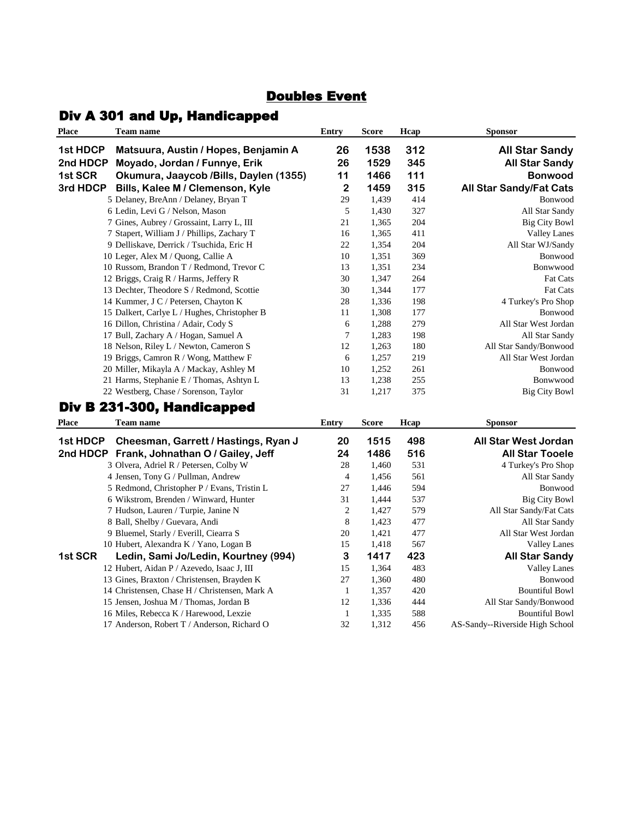## Doubles Event

## Div A 301 and Up, Handicapped

| <b>Place</b> | Team name                                     | Entry          | <b>Score</b> | Hcap | <b>Sponsor</b>                  |
|--------------|-----------------------------------------------|----------------|--------------|------|---------------------------------|
| 1st HDCP     | Matsuura, Austin / Hopes, Benjamin A          | 26             | 1538         | 312  | <b>All Star Sandy</b>           |
| 2nd HDCP     | Moyado, Jordan / Funnye, Erik                 | 26             | 1529         | 345  | <b>All Star Sandy</b>           |
| 1st SCR      | Okumura, Jaaycob /Bills, Daylen (1355)        | 11             | 1466         | 111  | <b>Bonwood</b>                  |
| 3rd HDCP     | Bills, Kalee M / Clemenson, Kyle              | $\mathbf{2}$   | 1459         | 315  | <b>All Star Sandy/Fat Cats</b>  |
|              | 5 Delaney, BreAnn / Delaney, Bryan T          | 29             | 1,439        | 414  | Bonwood                         |
|              | 6 Ledin, Levi G / Nelson, Mason               | 5              | 1,430        | 327  | All Star Sandy                  |
|              | 7 Gines, Aubrey / Grossaint, Larry L, III     | 21             | 1,365        | 204  | <b>Big City Bowl</b>            |
|              | 7 Stapert, William J / Phillips, Zachary T    | 16             | 1,365        | 411  | <b>Valley Lanes</b>             |
|              | 9 Delliskave, Derrick / Tsuchida, Eric H      | 22             | 1,354        | 204  | All Star WJ/Sandy               |
|              | 10 Leger, Alex M / Quong, Callie A            | 10             | 1,351        | 369  | Bonwood                         |
|              | 10 Russom, Brandon T / Redmond, Trevor C      | 13             | 1,351        | 234  | Bonwwood                        |
|              | 12 Briggs, Craig R / Harms, Jeffery R         | 30             | 1,347        | 264  | Fat Cats                        |
|              | 13 Dechter, Theodore S / Redmond, Scottie     | 30             | 1,344        | 177  | <b>Fat Cats</b>                 |
|              | 14 Kummer, J C / Petersen, Chayton K          | 28             | 1,336        | 198  | 4 Turkey's Pro Shop             |
|              | 15 Dalkert, Carlye L / Hughes, Christopher B  | 11             | 1,308        | 177  | Bonwood                         |
|              | 16 Dillon, Christina / Adair, Cody S          | 6              | 1,288        | 279  | All Star West Jordan            |
|              | 17 Bull, Zachary A / Hogan, Samuel A          | 7              | 1,283        | 198  | All Star Sandy                  |
|              | 18 Nelson, Riley L / Newton, Cameron S        | 12             | 1,263        | 180  | All Star Sandy/Bonwood          |
|              | 19 Briggs, Camron R / Wong, Matthew F         | 6              | 1,257        | 219  | All Star West Jordan            |
|              | 20 Miller, Mikayla A / Mackay, Ashley M       | 10             | 1,252        | 261  | <b>Bonwood</b>                  |
|              | 21 Harms, Stephanie E / Thomas, Ashtyn L      | 13             | 1,238        | 255  | Bonwwood                        |
|              | 22 Westberg, Chase / Sorenson, Taylor         | 31             | 1,217        | 375  | <b>Big City Bowl</b>            |
|              | Div B 231-300, Handicapped                    |                |              |      |                                 |
| <b>Place</b> | Team name                                     | <b>Entry</b>   | <b>Score</b> | Hcap | <b>Sponsor</b>                  |
| 1st HDCP     | Cheesman, Garrett / Hastings, Ryan J          | 20             | 1515         | 498  | All Star West Jordan            |
|              | 2nd HDCP Frank, Johnathan O / Gailey, Jeff    | 24             | 1486         | 516  | <b>All Star Tooele</b>          |
|              | 3 Olvera, Adriel R / Petersen, Colby W        | 28             | 1,460        | 531  | 4 Turkey's Pro Shop             |
|              | 4 Jensen, Tony G / Pullman, Andrew            | 4              | 1,456        | 561  | All Star Sandy                  |
|              | 5 Redmond, Christopher P / Evans, Tristin L   | 27             | 1,446        | 594  | Bonwood                         |
|              | 6 Wikstrom, Brenden / Winward, Hunter         | 31             | 1,444        | 537  | <b>Big City Bowl</b>            |
|              | 7 Hudson, Lauren / Turpie, Janine N           | $\overline{c}$ | 1,427        | 579  | All Star Sandy/Fat Cats         |
|              | 8 Ball, Shelby / Guevara, Andi                | 8              | 1,423        | 477  | All Star Sandy                  |
|              | 9 Bluemel, Starly / Everill, Ciearra S        | 20             | 1,421        | 477  | All Star West Jordan            |
|              | 10 Hubert, Alexandra K / Yano, Logan B        | 15             | 1,418        | 567  | <b>Valley Lanes</b>             |
| 1st SCR      | Ledin, Sami Jo/Ledin, Kourtney (994)          | 3              | 1417         | 423  | <b>All Star Sandy</b>           |
|              | 12 Hubert, Aidan P / Azevedo, Isaac J, III    | 15             | 1,364        | 483  | <b>Valley Lanes</b>             |
|              | 13 Gines, Braxton / Christensen, Brayden K    | $27\,$         | 1,360        | 480  | Bonwood                         |
|              | 14 Christensen, Chase H / Christensen, Mark A | $\mathbf{1}$   | 1,357        | 420  | <b>Bountiful Bowl</b>           |
|              | 15 Jensen, Joshua M / Thomas, Jordan B        | 12             | 1,336        | 444  | All Star Sandy/Bonwood          |
|              | 16 Miles, Rebecca K / Harewood, Lexzie        | $\mathbf{1}$   | 1,335        | 588  | <b>Bountiful Bowl</b>           |
|              | 17 Anderson, Robert T / Anderson, Richard O   | 32             | 1,312        | 456  | AS-Sandy--Riverside High School |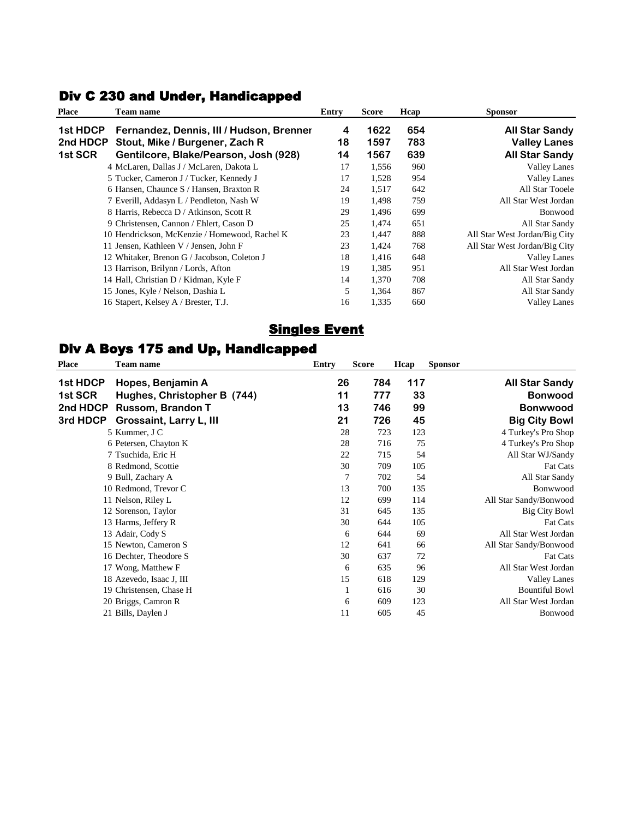## Div C 230 and Under, Handicapped

| <b>Place</b> | <b>Team name</b>                              | Entry | <b>Score</b> | Hcap | <b>Sponsor</b>                |
|--------------|-----------------------------------------------|-------|--------------|------|-------------------------------|
| 1st HDCP     | Fernandez, Dennis, III / Hudson, Brenner      | 4     | 1622         | 654  | <b>All Star Sandy</b>         |
| 2nd HDCP     | Stout, Mike / Burgener, Zach R                | 18    | 1597         | 783  | <b>Valley Lanes</b>           |
| 1st SCR      | Gentilcore, Blake/Pearson, Josh (928)         | 14    | 1567         | 639  | <b>All Star Sandy</b>         |
|              | 4 McLaren, Dallas J / McLaren, Dakota L       | 17    | 1,556        | 960  | <b>Valley Lanes</b>           |
|              | 5 Tucker, Cameron J / Tucker, Kennedy J       | 17    | 1,528        | 954  | <b>Valley Lanes</b>           |
|              | 6 Hansen, Chaunce S / Hansen, Braxton R       | 24    | 1,517        | 642  | All Star Tooele               |
|              | 7 Everill, Addasyn L / Pendleton, Nash W      | 19    | 1,498        | 759  | All Star West Jordan          |
|              | 8 Harris, Rebecca D / Atkinson, Scott R       | 29    | 1,496        | 699  | <b>Bonwood</b>                |
|              | 9 Christensen, Cannon / Ehlert, Cason D       | 25    | 1,474        | 651  | All Star Sandy                |
|              | 10 Hendrickson, McKenzie / Homewood, Rachel K | 23    | 1,447        | 888  | All Star West Jordan/Big City |
|              | 11 Jensen, Kathleen V / Jensen, John F        | 23    | 1,424        | 768  | All Star West Jordan/Big City |
|              | 12 Whitaker, Brenon G / Jacobson, Coleton J   | 18    | 1,416        | 648  | <b>Valley Lanes</b>           |
|              | 13 Harrison, Brilynn / Lords, Afton           | 19    | 1,385        | 951  | All Star West Jordan          |
|              | 14 Hall, Christian D / Kidman, Kyle F         | 14    | 1,370        | 708  | All Star Sandy                |
|              | 15 Jones, Kyle / Nelson, Dashia L             | 5     | 1,364        | 867  | All Star Sandy                |
|              | 16 Stapert, Kelsey A / Brester, T.J.          | 16    | 1,335        | 660  | <b>Valley Lanes</b>           |

## **Singles Event**

## Div A Boys 175 and Up, Handicapped

| <b>Place</b> | Team name                   | <b>Entry</b> | <b>Score</b> | Hcap | <b>Sponsor</b> |                        |
|--------------|-----------------------------|--------------|--------------|------|----------------|------------------------|
| 1st HDCP     | Hopes, Benjamin A           | 26           | 784          | 117  |                | <b>All Star Sandy</b>  |
| 1st SCR      | Hughes, Christopher B (744) | 11           | 777          | 33   |                | <b>Bonwood</b>         |
| 2nd HDCP     | Russom, Brandon T           | 13           | 746          | 99   |                | <b>Bonwwood</b>        |
| 3rd HDCP     | Grossaint, Larry L, III     | 21           | 726          | 45   |                | <b>Big City Bowl</b>   |
|              | 5 Kummer, J C               | 28           | 723          | 123  |                | 4 Turkey's Pro Shop    |
|              | 6 Petersen, Chayton K       | 28           | 716          | 75   |                | 4 Turkey's Pro Shop    |
|              | 7 Tsuchida, Eric H          | 22           | 715          | 54   |                | All Star WJ/Sandy      |
|              | 8 Redmond, Scottie          | 30           | 709          | 105  |                | <b>Fat Cats</b>        |
|              | 9 Bull, Zachary A           | 7            | 702          | 54   |                | All Star Sandy         |
|              | 10 Redmond, Trevor C        | 13           | 700          | 135  |                | Bonwwood               |
|              | 11 Nelson, Riley L          | 12           | 699          | 114  |                | All Star Sandy/Bonwood |
|              | 12 Sorenson, Taylor         | 31           | 645          | 135  |                | Big City Bowl          |
|              | 13 Harms, Jeffery R         | 30           | 644          | 105  |                | <b>Fat Cats</b>        |
|              | 13 Adair, Cody S            | 6            | 644          | 69   |                | All Star West Jordan   |
|              | 15 Newton, Cameron S        | 12           | 641          | 66   |                | All Star Sandy/Bonwood |
|              | 16 Dechter, Theodore S      | 30           | 637          | 72   |                | <b>Fat Cats</b>        |
|              | 17 Wong, Matthew F          | 6            | 635          | 96   |                | All Star West Jordan   |
|              | 18 Azevedo, Isaac J, III    | 15           | 618          | 129  |                | <b>Valley Lanes</b>    |
|              | 19 Christensen, Chase H     |              | 616<br>1     | 30   |                | <b>Bountiful Bowl</b>  |
|              | 20 Briggs, Camron R         | 6            | 609          | 123  |                | All Star West Jordan   |
|              | 21 Bills, Daylen J          | 11           | 605          | 45   |                | Bonwood                |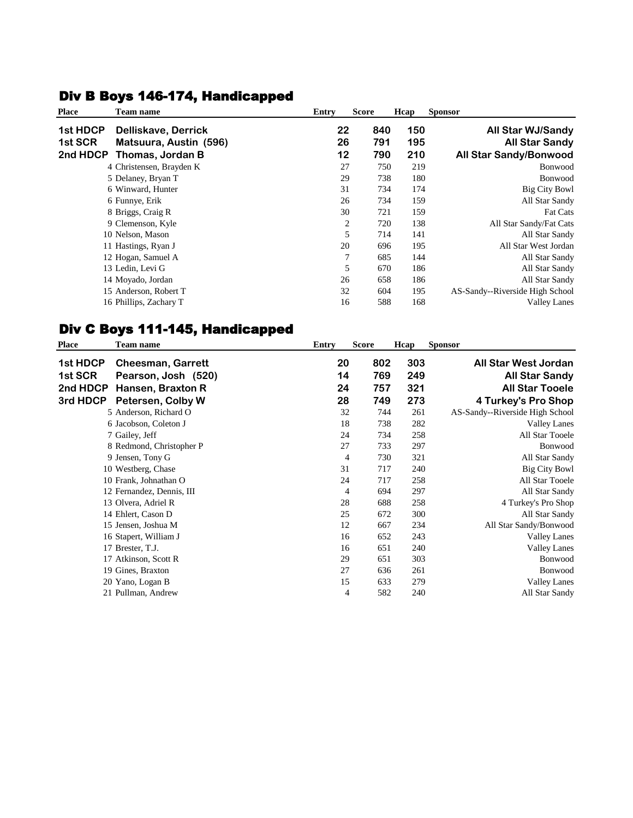## Div B Boys 146-174, Handicapped

| <b>Place</b> | Team name                  | Entry | <b>Score</b> | Hcap | <b>Sponsor</b>                  |
|--------------|----------------------------|-------|--------------|------|---------------------------------|
| 1st HDCP     | <b>Delliskave, Derrick</b> | 22    | 840          | 150  | <b>All Star WJ/Sandy</b>        |
| 1st SCR      | Matsuura, Austin (596)     | 26    | 791          | 195  | <b>All Star Sandy</b>           |
|              | 2nd HDCP Thomas, Jordan B  | 12    | 790          | 210  | <b>All Star Sandy/Bonwood</b>   |
|              | 4 Christensen, Brayden K   | 27    | 750          | 219  | Bonwood                         |
|              | 5 Delaney, Bryan T         | 29    | 738          | 180  | Bonwood                         |
|              | 6 Winward, Hunter          | 31    | 734          | 174  | <b>Big City Bowl</b>            |
|              | 6 Funnye, Erik             | 26    | 734          | 159  | All Star Sandy                  |
|              | 8 Briggs, Craig R          | 30    | 721          | 159  | <b>Fat Cats</b>                 |
|              | 9 Clemenson, Kyle          | 2     | 720          | 138  | All Star Sandy/Fat Cats         |
|              | 10 Nelson, Mason           | 5     | 714          | 141  | All Star Sandy                  |
|              | 11 Hastings, Ryan J        | 20    | 696          | 195  | All Star West Jordan            |
|              | 12 Hogan, Samuel A         | 7     | 685          | 144  | All Star Sandy                  |
|              | 13 Ledin, Levi G           | 5     | 670          | 186  | All Star Sandy                  |
|              | 14 Moyado, Jordan          | 26    | 658          | 186  | All Star Sandy                  |
|              | 15 Anderson, Robert T      | 32    | 604          | 195  | AS-Sandy--Riverside High School |
|              | 16 Phillips, Zachary T     | 16    | 588          | 168  | <b>Valley Lanes</b>             |

## Div C Boys 111-145, Handicapped

| <b>Place</b> | Team name                 | Entry | <b>Score</b> | Hcap | <b>Sponsor</b>                  |
|--------------|---------------------------|-------|--------------|------|---------------------------------|
| 1st HDCP     | <b>Cheesman, Garrett</b>  | 20    | 802          | 303  | All Star West Jordan            |
| 1st SCR      | Pearson, Josh (520)       | 14    | 769          | 249  | <b>All Star Sandy</b>           |
| 2nd HDCP     | Hansen, Braxton R         | 24    | 757          | 321  | <b>All Star Tooele</b>          |
| 3rd HDCP     | Petersen, Colby W         | 28    | 749          | 273  | 4 Turkey's Pro Shop             |
|              | 5 Anderson, Richard O     | 32    | 744          | 261  | AS-Sandy--Riverside High School |
|              | 6 Jacobson, Coleton J     | 18    | 738          | 282  | <b>Valley Lanes</b>             |
|              | 7 Gailey, Jeff            | 24    | 734          | 258  | All Star Tooele                 |
|              | 8 Redmond, Christopher P  | 27    | 733          | 297  | Bonwood                         |
|              | 9 Jensen, Tony G          | 4     | 730          | 321  | All Star Sandy                  |
|              | 10 Westberg, Chase        | 31    | 717          | 240  | <b>Big City Bowl</b>            |
|              | 10 Frank, Johnathan O     | 24    | 717          | 258  | All Star Tooele                 |
|              | 12 Fernandez, Dennis, III | 4     | 694          | 297  | All Star Sandy                  |
|              | 13 Olvera, Adriel R       | 28    | 688          | 258  | 4 Turkey's Pro Shop             |
|              | 14 Ehlert, Cason D        | 25    | 672          | 300  | All Star Sandy                  |
|              | 15 Jensen, Joshua M       | 12    | 667          | 234  | All Star Sandy/Bonwood          |
|              | 16 Stapert, William J     | 16    | 652          | 243  | <b>Valley Lanes</b>             |
|              | 17 Brester, T.J.          | 16    | 651          | 240  | <b>Valley Lanes</b>             |
|              | 17 Atkinson, Scott R      | 29    | 651          | 303  | Bonwood                         |
|              | 19 Gines, Braxton         | 27    | 636          | 261  | Bonwood                         |
|              | 20 Yano, Logan B          | 15    | 633          | 279  | <b>Valley Lanes</b>             |
|              | 21 Pullman, Andrew        | 4     | 582          | 240  | All Star Sandy                  |
|              |                           |       |              |      |                                 |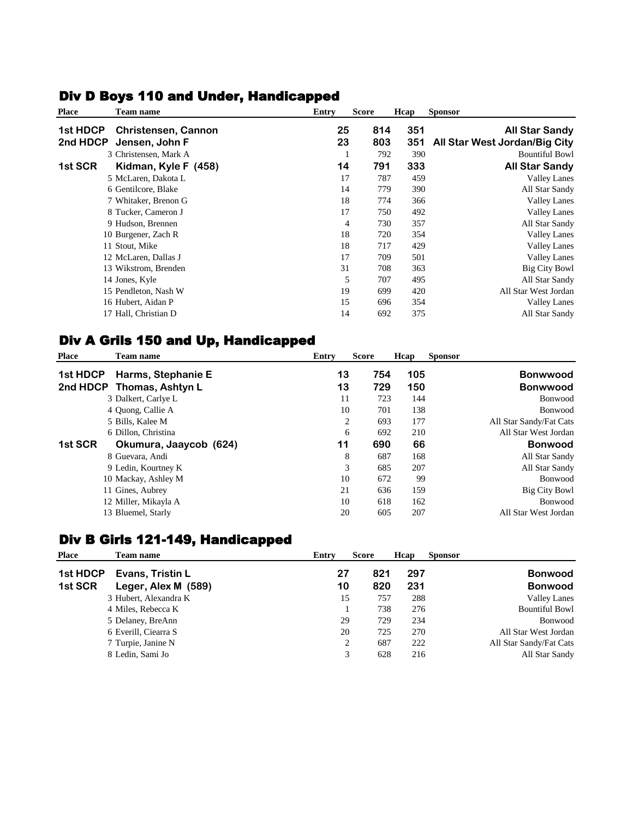## Div D Boys 110 and Under, Handicapped

| <b>Place</b> | Team name             | <b>Entry</b> | <b>Score</b> | Hcap | <b>Sponsor</b>                |
|--------------|-----------------------|--------------|--------------|------|-------------------------------|
| 1st HDCP     | Christensen, Cannon   | 25           | 814          | 351  | <b>All Star Sandy</b>         |
| 2nd HDCP     | Jensen, John F        | 23           | 803          | 351  | All Star West Jordan/Big City |
|              | 3 Christensen, Mark A |              | 792          | 390  | <b>Bountiful Bowl</b>         |
| 1st SCR      | Kidman, Kyle F (458)  | 14           | 791          | 333  | <b>All Star Sandy</b>         |
|              | 5 McLaren, Dakota L   | 17           | 787          | 459  | <b>Valley Lanes</b>           |
|              | 6 Gentilcore, Blake   | 14           | 779          | 390  | All Star Sandy                |
|              | 7 Whitaker, Brenon G  | 18           | 774          | 366  | <b>Valley Lanes</b>           |
|              | 8 Tucker, Cameron J   | 17           | 750          | 492  | <b>Valley Lanes</b>           |
|              | 9 Hudson, Brennen     | 4            | 730          | 357  | All Star Sandy                |
|              | 10 Burgener, Zach R   | 18           | 720          | 354  | <b>Valley Lanes</b>           |
|              | 11 Stout, Mike        | 18           | 717          | 429  | <b>Valley Lanes</b>           |
|              | 12 McLaren, Dallas J  | 17           | 709          | 501  | <b>Valley Lanes</b>           |
|              | 13 Wikstrom, Brenden  | 31           | 708          | 363  | Big City Bowl                 |
|              | 14 Jones, Kyle        | 5            | 707          | 495  | All Star Sandy                |
|              | 15 Pendleton, Nash W  | 19           | 699          | 420  | All Star West Jordan          |
|              | 16 Hubert, Aidan P    | 15           | 696          | 354  | <b>Valley Lanes</b>           |
|              | 17 Hall, Christian D  | 14           | 692          | 375  | All Star Sandy                |
|              |                       |              |              |      |                               |

## Div A Grils 150 and Up, Handicapped

| <b>Team name</b>          | Entry | <b>Score</b> | Hcap                                                                   | <b>Sponsor</b>                                                                          |                                                                                       |
|---------------------------|-------|--------------|------------------------------------------------------------------------|-----------------------------------------------------------------------------------------|---------------------------------------------------------------------------------------|
| Harms, Stephanie E        |       |              |                                                                        |                                                                                         | <b>Bonwwood</b>                                                                       |
| 2nd HDCP Thomas, Ashtyn L |       |              |                                                                        |                                                                                         | <b>Bonwwood</b>                                                                       |
| 3 Dalkert, Carlye L       |       |              |                                                                        |                                                                                         | Bonwood                                                                               |
| 4 Quong, Callie A         |       |              |                                                                        |                                                                                         | Bonwood                                                                               |
| 5 Bills, Kalee M          |       |              |                                                                        |                                                                                         | All Star Sandy/Fat Cats                                                               |
| 6 Dillon, Christina       |       |              |                                                                        |                                                                                         | All Star West Jordan                                                                  |
| Okumura, Jaaycob (624)    |       |              |                                                                        |                                                                                         | <b>Bonwood</b>                                                                        |
| 8 Guevara, Andi           |       |              |                                                                        |                                                                                         | All Star Sandy                                                                        |
| 9 Ledin, Kourtney K       |       |              |                                                                        |                                                                                         | All Star Sandy                                                                        |
| 10 Mackay, Ashley M       |       |              |                                                                        |                                                                                         | <b>Bonwood</b>                                                                        |
| 11 Gines, Aubrey          |       |              |                                                                        |                                                                                         | Big City Bowl                                                                         |
| 12 Miller, Mikayla A      |       |              |                                                                        |                                                                                         | Bonwood                                                                               |
| 13 Bluemel, Starly        |       |              |                                                                        |                                                                                         | All Star West Jordan                                                                  |
|                           |       |              | 13<br>13<br>11<br>10<br>2<br>6<br>11<br>8<br>3<br>10<br>21<br>10<br>20 | 754<br>729<br>723<br>701<br>693<br>692<br>690<br>687<br>685<br>672<br>636<br>618<br>605 | 105<br>150<br>144<br>138<br>177<br>210<br>66<br>168<br>207<br>99<br>159<br>162<br>207 |

#### Div B Girls 121-149, Handicapped

| <b>Place</b> | Team name             | Entry | <b>Score</b> | Hcap | <b>Sponsor</b> |                         |
|--------------|-----------------------|-------|--------------|------|----------------|-------------------------|
| 1st HDCP     | Evans, Tristin L      | 27    | 821          | 297  |                | <b>Bonwood</b>          |
| 1st SCR      | Leger, Alex M (589)   | 10    | 820          | 231  |                | <b>Bonwood</b>          |
|              | 3 Hubert, Alexandra K | 15    | 757          | 288  |                | <b>Valley Lanes</b>     |
|              | 4 Miles, Rebecca K    |       | 738          | 276  |                | <b>Bountiful Bowl</b>   |
|              | 5 Delaney, BreAnn     | 29    | 729          | 234  |                | Bonwood                 |
|              | 6 Everill, Ciearra S  | 20    | 725          | 270  |                | All Star West Jordan    |
|              | 7 Turpie, Janine N    | 2     | 687          | 222  |                | All Star Sandy/Fat Cats |
|              | 8 Ledin, Sami Jo      | 3     | 628          | 216  |                | All Star Sandy          |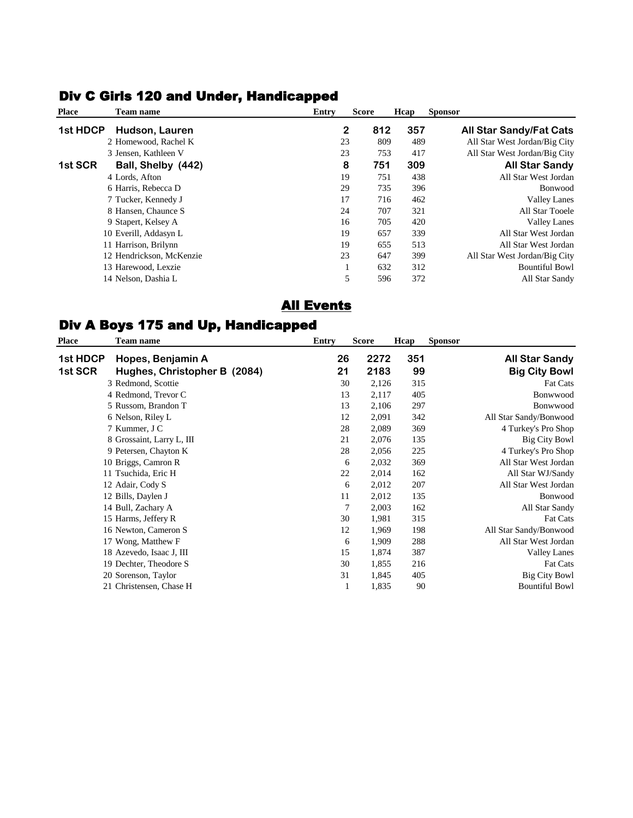# Div C Girls 120 and Under, Handicapped

| <b>Place</b> | Team name                | Entry | <b>Score</b> | Hcap | <b>Sponsor</b>                 |
|--------------|--------------------------|-------|--------------|------|--------------------------------|
| 1st HDCP     | Hudson, Lauren           | 2     | 812          | 357  | <b>All Star Sandy/Fat Cats</b> |
|              | 2 Homewood, Rachel K     | 23    | 809          | 489  | All Star West Jordan/Big City  |
|              | 3 Jensen, Kathleen V     | 23    | 753          | 417  | All Star West Jordan/Big City  |
| 1st SCR      | Ball, Shelby (442)       | 8     | 751          | 309  | <b>All Star Sandy</b>          |
|              | 4 Lords, Afton           | 19    | 751          | 438  | All Star West Jordan           |
|              | 6 Harris, Rebecca D      | 29    | 735          | 396  | <b>Bonwood</b>                 |
|              | 7 Tucker, Kennedy J      | 17    | 716          | 462  | <b>Valley Lanes</b>            |
|              | 8 Hansen, Chaunce S      | 24    | 707          | 321  | All Star Tooele                |
|              | 9 Stapert, Kelsey A      | 16    | 705          | 420  | <b>Valley Lanes</b>            |
|              | 10 Everill, Addasyn L    | 19    | 657          | 339  | All Star West Jordan           |
|              | 11 Harrison, Brilynn     | 19    | 655          | 513  | All Star West Jordan           |
|              | 12 Hendrickson, McKenzie | 23    | 647          | 399  | All Star West Jordan/Big City  |
|              | 13 Harewood, Lexzie      |       | 632          | 312  | <b>Bountiful Bowl</b>          |
|              | 14 Nelson, Dashia L      | 5     | 596          | 372  | All Star Sandy                 |

# **All Events**

## Div A Boys 175 and Up, Handicapped

| <b>Place</b> | Team name                    | Entry | <b>Score</b> | Hcap | <b>Sponsor</b>         |
|--------------|------------------------------|-------|--------------|------|------------------------|
| 1st HDCP     | Hopes, Benjamin A            | 26    | 2272         | 351  | <b>All Star Sandy</b>  |
| 1st SCR      | Hughes, Christopher B (2084) | 21    | 2183         | 99   | <b>Big City Bowl</b>   |
|              | 3 Redmond, Scottie           | 30    | 2,126        | 315  | <b>Fat Cats</b>        |
|              | 4 Redmond, Trevor C          | 13    | 2,117        | 405  | Bonwwood               |
|              | 5 Russom, Brandon T          | 13    | 2,106        | 297  | Bonwwood               |
|              | 6 Nelson, Riley L            | 12    | 2,091        | 342  | All Star Sandy/Bonwood |
|              | 7 Kummer, J C                | 28    | 2,089        | 369  | 4 Turkey's Pro Shop    |
|              | 8 Grossaint, Larry L, III    | 21    | 2,076        | 135  | Big City Bowl          |
|              | 9 Petersen, Chayton K        | 28    | 2,056        | 225  | 4 Turkey's Pro Shop    |
|              | 10 Briggs, Camron R          | 6     | 2,032        | 369  | All Star West Jordan   |
|              | 11 Tsuchida, Eric H          | 22    | 2,014        | 162  | All Star WJ/Sandy      |
|              | 12 Adair, Cody S             | 6     | 2,012        | 207  | All Star West Jordan   |
|              | 12 Bills, Daylen J           | 11    | 2,012        | 135  | Bonwood                |
|              | 14 Bull, Zachary A           |       | 2,003        | 162  | All Star Sandy         |
|              | 15 Harms, Jeffery R          | 30    | 1,981        | 315  | <b>Fat Cats</b>        |
|              | 16 Newton, Cameron S         | 12    | 1,969        | 198  | All Star Sandy/Bonwood |
|              | 17 Wong, Matthew F           | 6     | 1,909        | 288  | All Star West Jordan   |
|              | 18 Azevedo, Isaac J, III     | 15    | 1,874        | 387  | <b>Valley Lanes</b>    |
|              | 19 Dechter, Theodore S       | 30    | 1,855        | 216  | <b>Fat Cats</b>        |
|              | 20 Sorenson, Taylor          | 31    | 1,845        | 405  | <b>Big City Bowl</b>   |
|              | 21 Christensen, Chase H      | 1     | 1,835        | 90   | <b>Bountiful Bowl</b>  |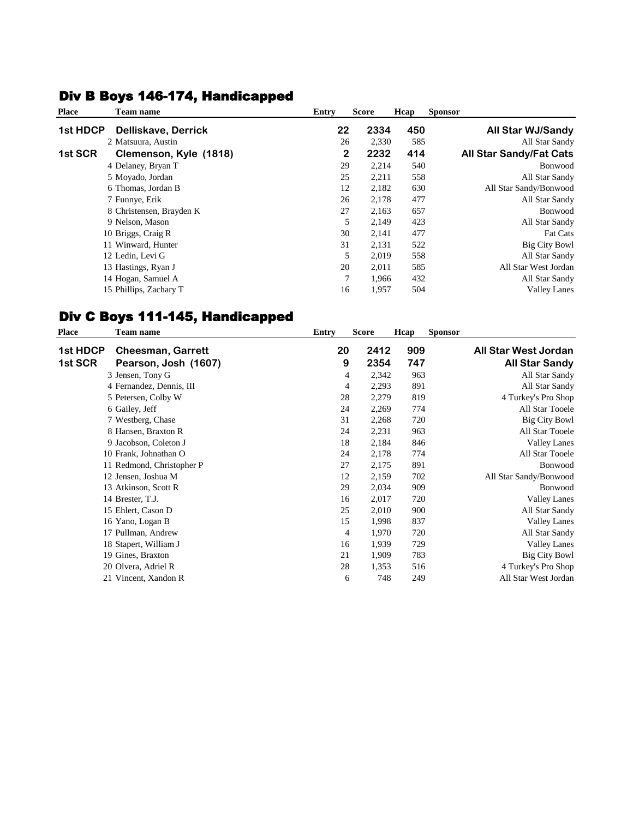| <b>Place</b> | Team name                  | Entry        | Score           | Hcap | <b>Sponsor</b>                 |
|--------------|----------------------------|--------------|-----------------|------|--------------------------------|
| 1st HDCP     | <b>Delliskave, Derrick</b> | 22           | 2334            | 450  | All Star WJ/Sandy              |
|              | 2 Matsuura, Austin         | 26           | 2,330           | 585  | All Star Sandy                 |
| 1st SCR      | Clemenson, Kyle (1818)     | $\mathbf{2}$ | 2232            | 414  | <b>All Star Sandy/Fat Cats</b> |
|              | 4 Delaney, Bryan T         | 29           | 2,214           | 540  | Bonwood                        |
|              | 5 Moyado, Jordan           | 25           | 2,211           | 558  | All Star Sandy                 |
|              | 6 Thomas, Jordan B         | 12           | 2,182           | 630  | All Star Sandy/Bonwood         |
|              | 7 Funnye, Erik             | 26           | 2,178           | 477  | All Star Sandy                 |
|              | 8 Christensen, Brayden K   | 27           | 2,163           | 657  | <b>Bonwood</b>                 |
|              | 9 Nelson, Mason            |              | 5<br>2,149      | 423  | All Star Sandy                 |
|              | 10 Briggs, Craig R         | 30           | 2,141           | 477  | <b>Fat Cats</b>                |
|              | 11 Winward, Hunter         | 31           | 2,131           | 522  | Big City Bowl                  |
|              | 12 Ledin, Levi G           |              | 5<br>2,019      | 558  | All Star Sandy                 |
|              | 13 Hastings, Ryan J        | 20           | 2,011           | 585  | All Star West Jordan           |
|              | 14 Hogan, Samuel A         |              | $\tau$<br>1,966 | 432  | All Star Sandy                 |
|              | 15 Phillips, Zachary T     | 16           | 1,957           | 504  | <b>Valley Lanes</b>            |

## Div B Boys 146-174, Handicapped

## Div C Boys 111-145, Handicapped

| <b>Place</b> | Team name                 | <b>Entry</b> | <b>Score</b> | Hcap | <b>Sponsor</b>              |
|--------------|---------------------------|--------------|--------------|------|-----------------------------|
| 1st HDCP     | <b>Cheesman, Garrett</b>  | 20           | 2412         | 909  | <b>All Star West Jordan</b> |
| 1st SCR      | Pearson, Josh (1607)      | 9            | 2354         | 747  | <b>All Star Sandy</b>       |
|              | 3 Jensen, Tony G          | 4            | 2,342        | 963  | All Star Sandy              |
|              | 4 Fernandez, Dennis, III  | 4            | 2,293        | 891  | All Star Sandy              |
|              | 5 Petersen, Colby W       | 28           | 2,279        | 819  | 4 Turkey's Pro Shop         |
|              | 6 Gailey, Jeff            | 24           | 2,269        | 774  | All Star Tooele             |
|              | 7 Westberg, Chase         | 31           | 2,268        | 720  | <b>Big City Bowl</b>        |
|              | 8 Hansen, Braxton R       | 24           | 2,231        | 963  | All Star Tooele             |
|              | 9 Jacobson, Coleton J     | 18           | 2,184        | 846  | <b>Valley Lanes</b>         |
|              | 10 Frank, Johnathan O     | 24           | 2,178        | 774  | All Star Tooele             |
|              | 11 Redmond, Christopher P | 27           | 2,175        | 891  | Bonwood                     |
|              | 12 Jensen, Joshua M       | 12           | 2,159        | 702  | All Star Sandy/Bonwood      |
|              | 13 Atkinson, Scott R      | 29           | 2,034        | 909  | Bonwood                     |
|              | 14 Brester, T.J.          | 16           | 2,017        | 720  | <b>Valley Lanes</b>         |
|              | 15 Ehlert, Cason D        | 25           | 2,010        | 900  | All Star Sandy              |
|              | 16 Yano, Logan B          | 15           | 1,998        | 837  | <b>Valley Lanes</b>         |
|              | 17 Pullman, Andrew        | 4            | 1,970        | 720  | All Star Sandy              |
|              | 18 Stapert, William J     | 16           | 1,939        | 729  | <b>Valley Lanes</b>         |
|              | 19 Gines, Braxton         | 21           | 1,909        | 783  | Big City Bowl               |
|              | 20 Olvera, Adriel R       | 28           | 1,353        | 516  | 4 Turkey's Pro Shop         |
|              | 21 Vincent, Xandon R      | 6            | 748          | 249  | All Star West Jordan        |
|              |                           |              |              |      |                             |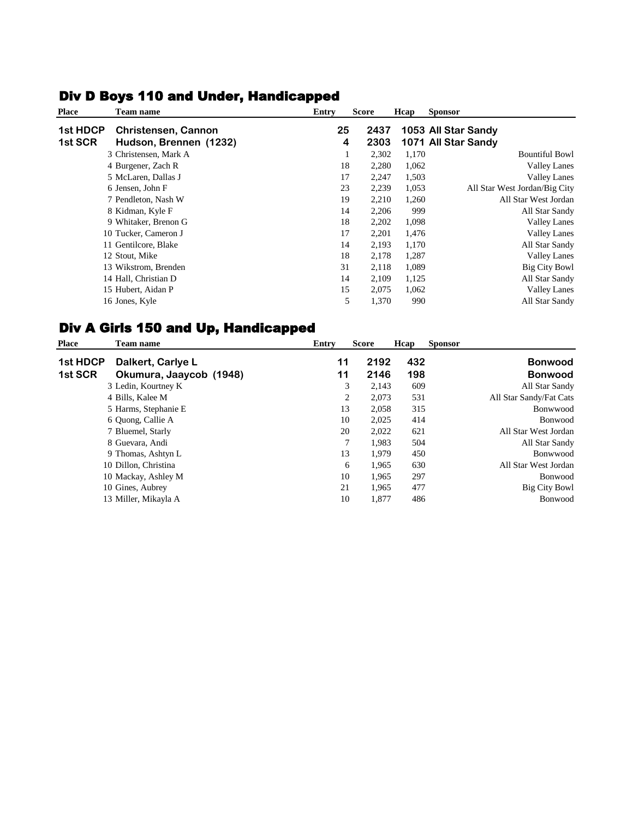# Div D Boys 110 and Under, Handicapped

| <b>Place</b> | <b>Team name</b>       | Entry | <b>Score</b> | Hcap  | <b>Sponsor</b>                |
|--------------|------------------------|-------|--------------|-------|-------------------------------|
| 1st HDCP     | Christensen, Cannon    | 25    | 2437         |       | 1053 All Star Sandy           |
| 1st SCR      | Hudson, Brennen (1232) | 4     | 2303         |       | 1071 All Star Sandy           |
|              | 3 Christensen, Mark A  |       | 2,302        | 1,170 | <b>Bountiful Bowl</b>         |
|              | 4 Burgener, Zach R     | 18    | 2,280        | 1,062 | <b>Valley Lanes</b>           |
|              | 5 McLaren, Dallas J    | 17    | 2,247        | 1,503 | <b>Valley Lanes</b>           |
|              | 6 Jensen, John F       | 23    | 2,239        | 1,053 | All Star West Jordan/Big City |
|              | 7 Pendleton, Nash W    | 19    | 2,210        | 1,260 | All Star West Jordan          |
|              | 8 Kidman, Kyle F       | 14    | 2,206        | 999   | All Star Sandy                |
|              | 9 Whitaker, Brenon G   | 18    | 2,202        | 1,098 | <b>Valley Lanes</b>           |
|              | 10 Tucker, Cameron J   | 17    | 2,201        | 1,476 | <b>Valley Lanes</b>           |
|              | 11 Gentilcore, Blake   | 14    | 2,193        | 1,170 | All Star Sandy                |
|              | 12 Stout, Mike         | 18    | 2,178        | 1,287 | <b>Valley Lanes</b>           |
|              | 13 Wikstrom, Brenden   | 31    | 2,118        | 1,089 | Big City Bowl                 |
|              | 14 Hall, Christian D   | 14    | 2,109        | 1,125 | All Star Sandy                |
|              | 15 Hubert, Aidan P     | 15    | 2,075        | 1,062 | <b>Valley Lanes</b>           |
|              | 16 Jones, Kyle         | 5     | 1,370        | 990   | All Star Sandy                |

# Div A Girls 150 and Up, Handicapped

| <b>Place</b> | Team name               | <b>Entry</b> | <b>Score</b> | Hcap | <b>Sponsor</b> |                         |
|--------------|-------------------------|--------------|--------------|------|----------------|-------------------------|
| 1st HDCP     | Dalkert, Carlye L       | 11           | 2192         | 432  |                | <b>Bonwood</b>          |
| 1st SCR      | Okumura, Jaaycob (1948) | 11           | 2146         | 198  |                | <b>Bonwood</b>          |
|              | 3 Ledin, Kourtney K     |              | 3<br>2,143   | 609  |                | All Star Sandy          |
|              | 4 Bills, Kalee M        |              | 2<br>2,073   | 531  |                | All Star Sandy/Fat Cats |
|              | 5 Harms, Stephanie E    | 13           | 2,058        | 315  |                | Bonwwood                |
|              | 6 Quong, Callie A       | 10           | 2,025        | 414  |                | Bonwood                 |
|              | 7 Bluemel, Starly       | 20           | 2,022        | 621  |                | All Star West Jordan    |
|              | 8 Guevara, Andi         |              | 7<br>1,983   | 504  |                | All Star Sandy          |
|              | 9 Thomas, Ashtyn L      | 13           | 1,979        | 450  |                | Bonwwood                |
|              | 10 Dillon, Christina    |              | 6<br>1,965   | 630  |                | All Star West Jordan    |
|              | 10 Mackay, Ashley M     | 10           | 1,965        | 297  |                | Bonwood                 |
|              | 10 Gines, Aubrey        | 21           | 1,965        | 477  |                | Big City Bowl           |
|              | 13 Miller, Mikayla A    | 10           | 1,877        | 486  |                | Bonwood                 |